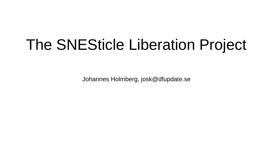# The SNESticle Liberation Project

Johannes Holmberg, josk@dfupdate.se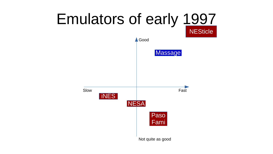#### **Emulators of early 1997 NESticle**  $\triangle$  Good Massage Slow Fast **INES NESA** Paso Fami Not quite as good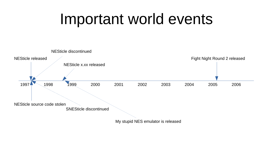### Important world events

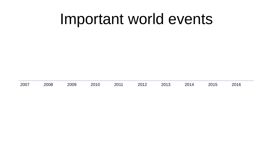### Important world events

| 2007<br>2008<br>2009 | າດ10<br>טד∩ד | 2011 | 2012 | 2013 | ว∩1<br>-UI4. | 2015 | nn 1 C<br>ZUTP. |  |
|----------------------|--------------|------|------|------|--------------|------|-----------------|--|
|----------------------|--------------|------|------|------|--------------|------|-----------------|--|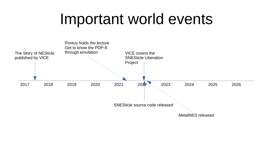#### Important world events

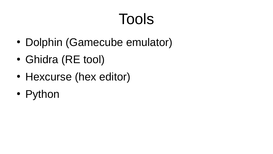# Tools

- Dolphin (Gamecube emulator)
- Ghidra (RE tool)
- Hexcurse (hex editor)
- Python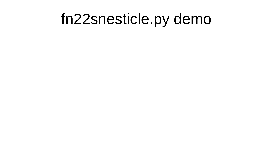### fn22snesticle.py demo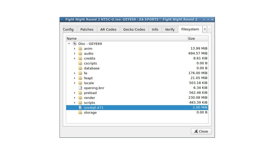| Config               | <b>AR Codes</b><br>Patches | Gecko Codes | Info | Filesystem<br>Verify<br>۰ |
|----------------------|----------------------------|-------------|------|---------------------------|
|                      |                            |             |      |                           |
| Name                 |                            |             |      | Size                      |
| $^{\circ}$           | Disc - GEYE69              |             |      |                           |
|                      | $\phi$ anim                |             |      | 13.99 MiB                 |
|                      | <b>d</b> audio             |             |      | 694.57 MiB                |
|                      | $\mathbf b$ credits        |             |      | 8.61 KiB                  |
|                      | $\mathbb{R}$ cscripts      |             |      | 0.00B                     |
| $\mathbb{R}^n$       | database                   |             |      | 0.00B                     |
| $\mathbf{h}$ fe<br>Þ |                            |             |      | 176.00 MiB                |
| r                    | $\mathbf b$ feapt          |             |      | 21.05 MiB                 |
| <b>dh</b><br>r       | locale                     |             |      | 503.18 KiB                |
| <b>A</b>             | opening.bnr                |             |      | 6.34 KiB                  |
| Þ                    | <b>b</b> preload           |             |      | 562.48 KiB                |
|                      | <b><i>d</i></b> render     |             |      | 230.08 MiB                |
| k                    | <b>Scripts</b>             |             |      | 483.39 KiB                |
| ы                    | sns4q0.471                 |             |      | 2.00 MiB                  |
| <b>d</b>             | storage                    |             |      | 0.00B                     |
|                      |                            |             |      |                           |
|                      |                            |             |      |                           |
|                      |                            |             |      |                           |
|                      |                            |             |      | X Close                   |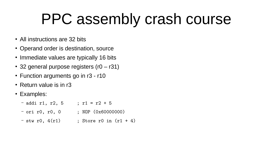### PPC assembly crash course

- All instructions are 32 bits
- Operand order is destination, source
- Immediate values are typically 16 bits
- 32 general purpose registers  $(10 131)$
- $\cdot$  Function arguments go in  $r3 r10$
- $\cdot$  Return value is in r3
- Examples:
	- $-$  addi r1, r2, 5 ; r1 = r2 + 5
	- $-$  ori r0, r0, 0 ; NOP (0x60000000)
	- $-$  stw r0,  $4(r1)$  ; Store r0 in  $(r1 + 4)$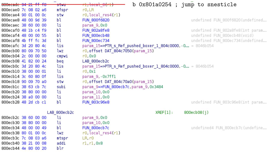```
rl,local_8(rl) ——
                                                            b 0x801a0254 ; jump to snesticle
800ecadc 94 21 ff f8
                         stwu
                         mfspr
800ecae0 7c 08 02 a6
                                     r0.ER800ecae4 90 01 00 0c
                         stw
                                     r0, local res4(rl)
                         bl
                                     FUN 800f6820
                                                                                       undefined FUN 800f6820(undefined...
800ecae8 48 00 9d 39
800ecaec 38 60 00 00
                         ιi
                                     param 9,0x0
800ecaf0 48 1b c4 f9
                         bl
                                     FUN 802a8fe8
                                                                                       undefined FUN 802a8fe8(int param...
800ecaf4 48 00 00 55
                         bl
                                     FUN 800ecb48
                                                                                       undefined FUN 800ecb48(void)
                         bl
                                                                                       undefined FUN 800ec734(undefined...
800ecaf8 4b ff fc 3d
                                     FUN 800ec734
800ecafc 3d 20 80 4c
                         lis
                                     param 15=>PTR s Ref pushed boxer 1 804c0000, -0... = 8046b054
800ecb00 80 09 70 50
                         lwz
                                     r0, offset DAT 804c7050(param 15)
800ecb04 2c 00 00 00
                         cmpwi
                                     r0.0x0800ecb08 41 82 00 24
                         bea
                                     LAB 800ecb2c
800ecb0c 3d 20 80 4c
                         lis
                                     param 15=>PTR s Ref pushed boxer 1 804c0000, -0... = 8046b054
800ecb10 38 00 00 01
                         1i
                                     r0.0x1lis
800ecb14 3c 60 80 0f
                                     param 9, Ox7ffl
800ecb18 90 09 70 a0
                         stw
                                     r0, offset DAT 804c70a0(param 15)
800ecblc 38 63 cb 7c
                         subi
                                     param 9=>FUN 800ecb7c, param 9,0x3484
800ecb20 38 80 00 00
                         λi
                                     param 10,0x0
800ecb24 38 a0 00 00
                         λi
                                     param 11,0x0
800ecb28 48 2d cb cl
                         bl
                                     FUN 803c96e8
                                                                                       undefined FUN 803c96e8(int param...
                    LAB 800ecb2c
                                                                      XREF[1]:800ecb08(j)
800ecb2c 38 60 00 00
                         Πi
                                     param 9,0x0
800ecb30 38 80 00 00
                         ιi
                                     param 10,0x0
800ecb34 48 00 00 49
                         bl
                                     FUN 800ecb7c
                                                                                       undefined4 FUN 800ecb7c(undefine...
800ecb38 80 01 00 0c
                         lwz
                                     r0, local res4(rl)
800ecb3c 7c 08 03 a6
                         mtspr
                                     LR, r0
800ecb40 38 21 00 08
                         addi
                                     r1, r1, 0x8blr
800ecb44 4e 80 00 20
```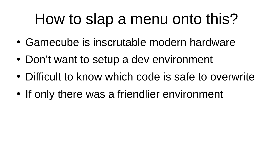# How to slap a menu onto this?

- Gamecube is inscrutable modern hardware
- Don't want to setup a dev environment
- Difficult to know which code is safe to overwrite
- If only there was a friendlier environment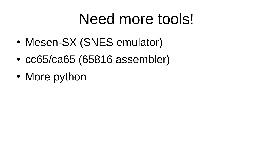# Need more tools!

- Mesen-SX (SNES emulator)
- $\cdot$  cc65/ca65 (65816 assembler)
- More python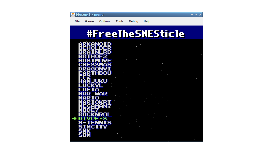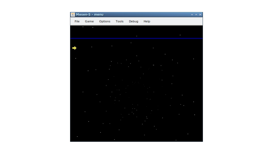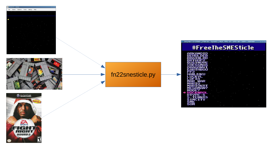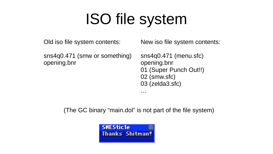# ISO file system

Old iso file system contents:

sns4q0.471 (smw or something) opening.bnr

New iso file system contents:

sns4q0.471 (menu.sfc) opening.bnr 01 (Super Punch Out!!) 02 (smw.sfc) 03 (zelda3.sfc)

(The GC binary "main.dol" is not part of the file system)

…

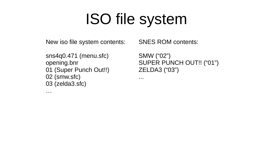# ISO file system

New iso file system contents:

```
sns4q0.471 (menu.sfc)
opening.bnr
01 (Super Punch Out!!)
02 (smw.sfc)
03 (zelda3.sfc)
```
…

SNES ROM contents:

SMW ("02") SUPER PUNCH OUT!! ("01") ZELDA3 ("03")

...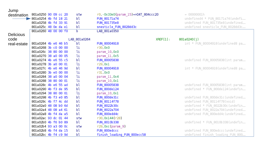| Jump             |                      |  |  |              |                                    |          |                |                                  |
|------------------|----------------------|--|--|--------------|------------------------------------|----------|----------------|----------------------------------|
| destination      | 801a0250 90 09 cc 20 |  |  | stw          | r0,-0x33e0(param_15)=>DAT_804ccc20 |          | $= 000000001h$ |                                  |
|                  | 801a0254 4b fd 18 21 |  |  | bl           | FUN 80171a74                       |          |                | undefined4 * FUN 80171a74(undefi |
|                  | 801a0258 4b fd 33 91 |  |  | bl           | FUN 801735e8                       |          |                | undefined FUN_801735e8(undefined |
|                  | 801a025c 48 0e da el |  |  | bl           | snesticle_FUN_8028dd3c             |          |                | undefined snesticle FUN 8028dd3c |
|                  | 801a0260 48 00 00 f0 |  |  | b            | LAB 801a0350                       |          |                |                                  |
| <b>Delicious</b> |                      |  |  |              |                                    |          |                |                                  |
| code             |                      |  |  | LAB 801a0264 |                                    | XREF[1]: | 801a0240(j)    |                                  |
| real-estate      | 801a0264 4b e6 46 b5 |  |  | bι           | FUN 80004918                       |          |                | int * FUN 80004918(undefined8 pa |
|                  | 801a0268 3b c0 00 00 |  |  | 1i           | r30,0x0                            |          |                |                                  |
|                  | 801a026c 38 80 00 00 |  |  | 1i           | param_10.0x0                       |          |                |                                  |
|                  | 801a0270 38 a0 00 05 |  |  | 1i           | param_11.0x5                       |          |                |                                  |
|                  | 801a0274 4b e6 55 c5 |  |  | bι           | FUN 80005838                       |          |                | undefined FUN 80005838(int param |
|                  | 801a0278 3b a0 00 01 |  |  | li           | r29,0x1                            |          |                |                                  |
|                  | 801a027c 4b e6 46 9d |  |  | bl           | FUN 80004918                       |          |                | int * FUN 80004918(undefined8 pa |
|                  | 801a0280 3b e0 00 00 |  |  | 1i           | r31,0x0                            |          |                |                                  |
|                  | 801a0284 38 a0 00 04 |  |  | li           | param_11.0x4                       |          |                |                                  |
|                  | 801a0288 38 80 00 01 |  |  | li           | param_10.0xl                       |          |                |                                  |
|                  | 801a028c 4b e6 55 ad |  |  | bl           | FUN 80005838                       |          |                | undefined FUN_80005838(int param |
|                  | 801a0290 4b f3 de 95 |  |  | bl           | FUN_800de124                       |          |                | undefined * FUN_800del24(undefin |
|                  | 801a0294 38 80 00 01 |  |  | 1i           | param_10,0xl                       |          |                |                                  |
|                  | 801a0298 4b f3 e0 85 |  |  | bl           | FUN_800de31c                       |          |                | undefined FUN_800de31c(undefined |
|                  | 801a029c 4b f7 4c dd |  |  | bl           | FUN 80114f78                       |          |                | undefined FUN_80114f78(void)     |
|                  | 801a02a0 48 08 b0 6d |  |  | bι           | FUN 8022b30c                       |          |                | undefined * FUN_8022b30c(undefin |
|                  | 801a02a4 48 08 a4 61 |  |  | bl           | FUN 8022a704                       |          |                | undefined FUN_8022a704(undefined |
|                  | 801a02a8 4b f4 da a5 |  |  | bl           | FUN 800edd4c                       |          |                | undefined FUN_800edd4c(undefined |
|                  | 801a02ac 93 dc 01 44 |  |  | stw          | r30,0x144(r28)                     |          |                |                                  |
|                  | 801a02b0 4b f6 b0 89 |  |  | bl           | FUN 8010b338                       |          |                | undefined * FUN 8010b338(undefin |
|                  | 801a02b4 93 a3 00 0c |  |  | stw          | r29, Oxc(param_9)                  |          |                |                                  |
|                  | 801a02b8 4b f4 da 15 |  |  | bl           | FUN 800edccc                       |          |                | undefined FUN_800edccc(undefined |
|                  | 801a02bc 4b f4 c9 9d |  |  | bl           | finish loading FUN 800ecc58        |          |                | undefined finish loading FUN 800 |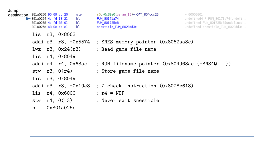| ۰. | ×<br>٧ |  |
|----|--------|--|

| JUILIN<br>destination | 801a0250 90 09 cc 20<br>$\rightarrow$ 801a0254 4b fd 18 21<br>801a0258 4b fd 33 91<br>801a025c 48 0e da el |                      | stw<br>bl<br>bl<br>bl  | r0,-0x33e0(param_15)=>DAT_804ccc20<br>FUN_80171a74<br>FUN 801735e8<br>snesticle FUN 8028dd3c | $= 000000001h$<br>undefined4 * FUN_80171a74(undefi<br>undefined FUN 801735e8(undefined<br>undefined snesticle FUN 8028dd3c |
|-----------------------|------------------------------------------------------------------------------------------------------------|----------------------|------------------------|----------------------------------------------------------------------------------------------|----------------------------------------------------------------------------------------------------------------------------|
|                       |                                                                                                            | lis r3, 0x8063       |                        |                                                                                              |                                                                                                                            |
|                       |                                                                                                            |                      |                        | addi r3, r3, $-0x5574$ ; SNES memory pointer $(0x8062aa8c)$                                  |                                                                                                                            |
|                       |                                                                                                            | $1wz$ r3, $0x24(r3)$ |                        | ; Read game file name                                                                        |                                                                                                                            |
|                       |                                                                                                            | lis r4, 0x8049       |                        |                                                                                              |                                                                                                                            |
|                       |                                                                                                            | addi r4, r4, 0x63ac  |                        | ; ROM filename pointer $(0x804963ac$ $(=\text{SNS4Q}))$                                      |                                                                                                                            |
|                       |                                                                                                            | stw $r3$ , $0(r4)$   |                        | ; Store game file name                                                                       |                                                                                                                            |
|                       |                                                                                                            | lis r3, 0x8049       |                        |                                                                                              |                                                                                                                            |
|                       |                                                                                                            |                      | addi $r3, r3, -0x19e8$ | ; Z check instruction (0x8028e618)                                                           |                                                                                                                            |
|                       | lis                                                                                                        | r4, 0x6000           |                        | $: r4 = NOP$                                                                                 |                                                                                                                            |
|                       | stw                                                                                                        | r4, 0(r3)            |                        | ; Never exit snesticle                                                                       |                                                                                                                            |
|                       | $\mathbf b$                                                                                                | 0x801a025c           |                        |                                                                                              |                                                                                                                            |
|                       |                                                                                                            |                      |                        |                                                                                              |                                                                                                                            |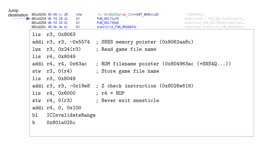| ۰. | ×<br>٧ |  |
|----|--------|--|

| Julip<br>destination | 801a0250 90 09 cc 20<br>$\triangleright$ 801a0254 4b fd 18 21<br>801a0258 4b fd 33 91<br>801a025c 48 0e da el |            | stw<br>bl<br>bl<br>bl | r0,-0x33e0(param_15)=>DAT_804ccc20<br>FUN 80171a74<br>FUN 801735e8<br>snesticle FUN 8028dd3c | $= 000000001h$<br>undefined4 * FUN_80171a74(undefi<br>undefined FUN 801735e8(undefined<br>undefined snesticle FUN 8028dd3c |
|----------------------|---------------------------------------------------------------------------------------------------------------|------------|-----------------------|----------------------------------------------------------------------------------------------|----------------------------------------------------------------------------------------------------------------------------|
|                      | lis r3, 0x8063                                                                                                |            |                       |                                                                                              |                                                                                                                            |
|                      |                                                                                                               |            |                       | addi r3, r3, $-0x5574$ ; SNES memory pointer $(0x8062aa8c)$                                  |                                                                                                                            |
|                      |                                                                                                               |            | $1wz$ r3, $0x24(r3)$  | ; Read game file name                                                                        |                                                                                                                            |
|                      | lis r4, 0x8049                                                                                                |            |                       |                                                                                              |                                                                                                                            |
|                      |                                                                                                               |            | addi r4, r4, 0x63ac   | ; ROM filename pointer $(0x804963ac$ $(=\text{SNS4Q}))$                                      |                                                                                                                            |
|                      | stw $r3$ , $0(r4)$                                                                                            |            |                       | ; Store game file name                                                                       |                                                                                                                            |
|                      | lis r3, 0x8049                                                                                                |            |                       |                                                                                              |                                                                                                                            |
|                      |                                                                                                               |            |                       | addi r3, r3, $-0x19e8$ ; Z check instruction $(0x8028e618)$                                  |                                                                                                                            |
|                      | lis $r4$ , $0x6000$                                                                                           |            |                       | $; r4 = NOP$                                                                                 |                                                                                                                            |
|                      |                                                                                                               |            |                       | stw r4, 0(r3) ; Never exit snesticle                                                         |                                                                                                                            |
|                      | addi r4, 0, 0x100                                                                                             |            |                       |                                                                                              |                                                                                                                            |
|                      | bl                                                                                                            |            | ICInvalidateRange     |                                                                                              |                                                                                                                            |
|                      | $\mathbf b$                                                                                                   | 0x801a025c |                       |                                                                                              |                                                                                                                            |
|                      |                                                                                                               |            |                       |                                                                                              |                                                                                                                            |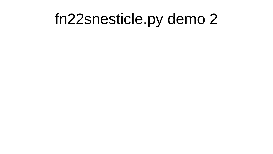### fn22snesticle.py demo 2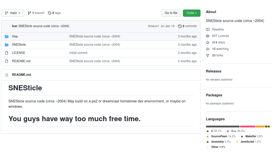| $\mathfrak{P}$ main $\star$  | $\mathbf{P}$ 1 branch $\heartsuit$ 0 tags                                                                 | About<br>Go to file<br>Code $\sim$                                                       |
|------------------------------|-----------------------------------------------------------------------------------------------------------|------------------------------------------------------------------------------------------|
|                              | Icer SNESticle source code (circa ~2004)                                                                  | SNESticle source code (circa ~2004)<br>9590ebf on Jan 13 0 2 commits<br><b>CO</b> Readme |
| Gep                          | SNESticle source code (circa ~2004)                                                                       | MIT License<br>ठाँठ<br>3 months ago                                                      |
| SNESticle                    | SNESticle source code (circa ~2004)                                                                       | ☆ 314 stars<br>3 months ago<br>$\odot$ 15 watching                                       |
| LICENSE                      | Initial commit                                                                                            | 3 months ago<br>ಳ್<br>33 forks                                                           |
| README.md                    | SNESticle source code (circa ~2004)                                                                       | 3 months ago                                                                             |
| <b>README.md</b><br>注        |                                                                                                           | <b>Releases</b><br>No releases published                                                 |
| <b>SNESticle</b><br>windows. | SNESticle source code (circa ~2004) May build on a ps2 or dreamcast homebrew dev environment, or maybe on | Packages<br>No packages published                                                        |
|                              | You guys have way too much free time.                                                                     | Languages<br>.                                                                           |
|                              |                                                                                                           | $C$ 53.1%<br>$C++24.4%$<br>SourcePawn 14.2%<br>$\bullet$ Makefile $3.8\%$                |
|                              |                                                                                                           | Assembly 2.4%<br>JavaScript 1.2%<br>۰                                                    |
|                              |                                                                                                           | <b>Other 0.9%</b>                                                                        |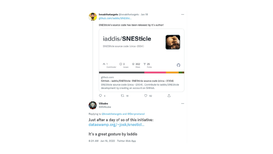

8:24 AM · Jan 18, 2022 · Twitter Web App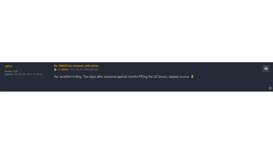#### calima

Posts: 1429<br>Joined: Tue Oct 06, 2015 10:16 am

Re: SNESTicle released, with article. by calima Tue Jan 18, 2022 9:25 am

Ha, excellent trolling. Two days after someone spends months REing the GC binary, release source. **The** 

 $\bullet$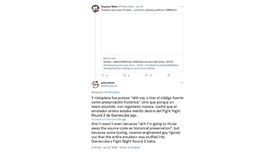

Havama Akito @TheBurpMan · Jan 19 Tuvieron que pasar 25 años... y ocurrió: señoras y señores, SNESticle



#### Replying to @TheBurpMan

Y nisiquiera fue porque "ahh voy a tirar el código fuente como preservación histórica", sino que porque un weon aburrido, con ingeniería inversa, cachó que el emulador entero estaba metido dentro del Fight Night Round 2 de Gamecube jaja.

#### Translated from Spanish by Google

And it wasn't even because "ahh I'm going to throw away the source code as historical preservation", but because some boring, reverse-engineered guy figured out that the entire emulator was stuffed into Gamecube's Fight Night Round 2 haha.